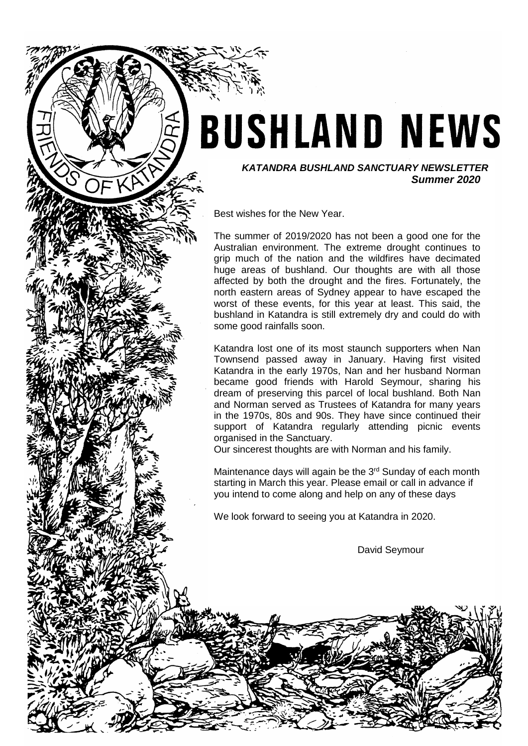# **BUSHLAND NEWS**

*KATANDRA BUSHLAND SANCTUARY NEWSLETTER Summer 2020*

Best wishes for the New Year.

The summer of 2019/2020 has not been a good one for the Australian environment. The extreme drought continues to grip much of the nation and the wildfires have decimated huge areas of bushland. Our thoughts are with all those affected by both the drought and the fires. Fortunately, the north eastern areas of Sydney appear to have escaped the worst of these events, for this year at least. This said, the bushland in Katandra is still extremely dry and could do with some good rainfalls soon.

Katandra lost one of its most staunch supporters when Nan Townsend passed away in January. Having first visited Katandra in the early 1970s, Nan and her husband Norman became good friends with Harold Seymour, sharing his dream of preserving this parcel of local bushland. Both Nan and Norman served as Trustees of Katandra for many years in the 1970s, 80s and 90s. They have since continued their support of Katandra regularly attending picnic events organised in the Sanctuary.

Our sincerest thoughts are with Norman and his family.

Maintenance days will again be the 3<sup>rd</sup> Sunday of each month starting in March this year. Please email or call in advance if you intend to come along and help on any of these days

We look forward to seeing you at Katandra in 2020.

David Seymour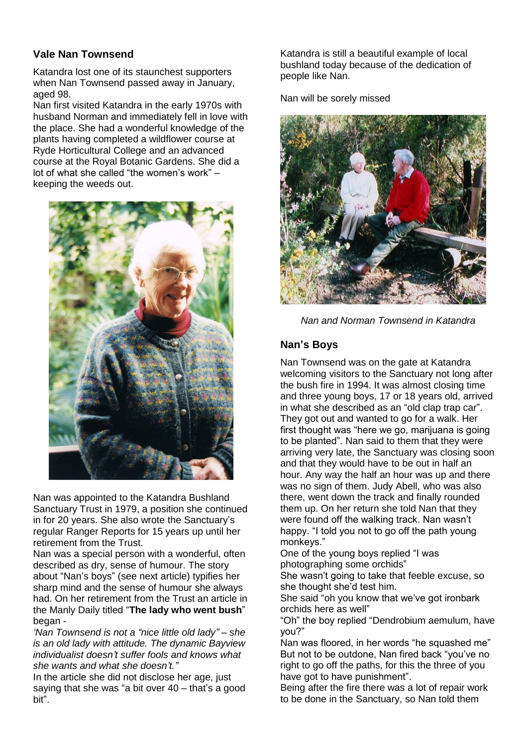# **Vale Nan Townsend**

Katandra lost one of its staunchest supporters when Nan Townsend passed away in January, aged 98.

Nan first visited Katandra in the early 1970s with husband Norman and immediately fell in love with the place. She had a wonderful knowledge of the plants having completed a wildflower course at Ryde Horticultural College and an advanced course at the Royal Botanic Gardens. She did a lot of what she called "the women's work" – keeping the weeds out.



Nan was appointed to the Katandra Bushland Sanctuary Trust in 1979, a position she continued in for 20 years. She also wrote the Sanctuary's regular Ranger Reports for 15 years up until her retirement from the Trust.

Nan was a special person with a wonderful, often described as dry, sense of humour. The story about "Nan's boys" (see next article) typifies her sharp mind and the sense of humour she always had. On her retirement from the Trust an article in the Manly Daily titled "**The lady who went bush**" began -

*'Nan Townsend is not a "nice little old lady" – she is an old lady with attitude. The dynamic Bayview individualist doesn't suffer fools and knows what she wants and what she doesn't."*

In the article she did not disclose her age, just saying that she was "a bit over 40 – that's a good bit".

Katandra is still a beautiful example of local bushland today because of the dedication of people like Nan.

Nan will be sorely missed



*Nan and Norman Townsend in Katandra*

# **Nan's Boys**

Nan Townsend was on the gate at Katandra welcoming visitors to the Sanctuary not long after the bush fire in 1994. It was almost closing time and three young boys, 17 or 18 years old, arrived in what she described as an "old clap trap car". They got out and wanted to go for a walk. Her first thought was "here we go, marijuana is going to be planted". Nan said to them that they were arriving very late, the Sanctuary was closing soon and that they would have to be out in half an hour. Any way the half an hour was up and there was no sign of them. Judy Abell, who was also there, went down the track and finally rounded them up. On her return she told Nan that they were found off the walking track. Nan wasn't happy. "I told you not to go off the path young monkeys."

One of the young boys replied "I was photographing some orchids"

She wasn't going to take that feeble excuse, so she thought she'd test him.

She said "oh you know that we've got ironbark orchids here as well"

"Oh" the boy replied "Dendrobium aemulum, have you?"

Nan was floored, in her words "he squashed me" But not to be outdone, Nan fired back "you've no right to go off the paths, for this the three of you have got to have punishment".

Being after the fire there was a lot of repair work to be done in the Sanctuary, so Nan told them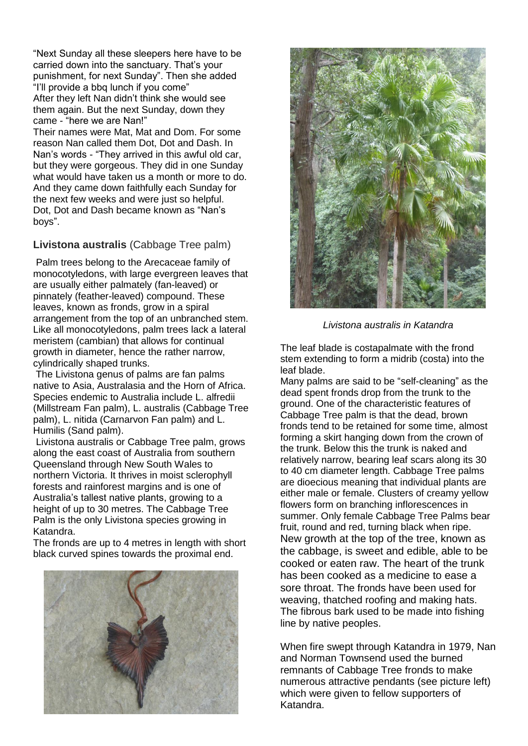"Next Sunday all these sleepers here have to be carried down into the sanctuary. That's your punishment, for next Sunday". Then she added "I'll provide a bbq lunch if you come" After they left Nan didn't think she would see them again. But the next Sunday, down they came - "here we are Nan!" Their names were Mat, Mat and Dom. For some reason Nan called them Dot, Dot and Dash. In Nan's words - "They arrived in this awful old car, but they were gorgeous. They did in one Sunday what would have taken us a month or more to do. And they came down faithfully each Sunday for the next few weeks and were just so helpful. Dot, Dot and Dash became known as "Nan's boys".

# **Livistona australis** (Cabbage Tree palm)

Palm trees belong to the Arecaceae family of monocotyledons, with large evergreen leaves that are usually either palmately (fan-leaved) or pinnately (feather-leaved) compound. These leaves, known as fronds, grow in a spiral arrangement from the top of an unbranched stem. Like all monocotyledons, palm trees lack a lateral meristem (cambian) that allows for continual growth in diameter, hence the rather narrow, cylindrically shaped trunks.

The Livistona genus of palms are fan palms native to Asia, Australasia and the Horn of Africa. Species endemic to Australia include L. alfredii (Millstream Fan palm), L. australis (Cabbage Tree palm), L. nitida (Carnarvon Fan palm) and L. Humilis (Sand palm).

Livistona australis or Cabbage Tree palm, grows along the east coast of Australia from southern Queensland through New South Wales to northern Victoria. It thrives in moist sclerophyll forests and rainforest margins and is one of Australia's tallest native plants, growing to a height of up to 30 metres. The Cabbage Tree Palm is the only Livistona species growing in Katandra.

The fronds are up to 4 metres in length with short black curved spines towards the proximal end.





*Livistona australis in Katandra*

The leaf blade is costapalmate with the frond stem extending to form a midrib (costa) into the leaf blade.

Many palms are said to be "self-cleaning" as the dead spent fronds drop from the trunk to the ground. One of the characteristic features of Cabbage Tree palm is that the dead, brown fronds tend to be retained for some time, almost forming a skirt hanging down from the crown of the trunk. Below this the trunk is naked and relatively narrow, bearing leaf scars along its 30 to 40 cm diameter length. Cabbage Tree palms are dioecious meaning that individual plants are either male or female. Clusters of creamy yellow flowers form on branching inflorescences in summer. Only female Cabbage Tree Palms bear fruit, round and red, turning black when ripe. New growth at the top of the tree, known as the cabbage, is sweet and edible, able to be cooked or eaten raw. The heart of the trunk has been cooked as a medicine to ease a sore throat. The fronds have been used for weaving, thatched roofing and making hats. The fibrous bark used to be made into fishing line by native peoples.

When fire swept through Katandra in 1979, Nan and Norman Townsend used the burned remnants of Cabbage Tree fronds to make numerous attractive pendants (see picture left) which were given to fellow supporters of Katandra.